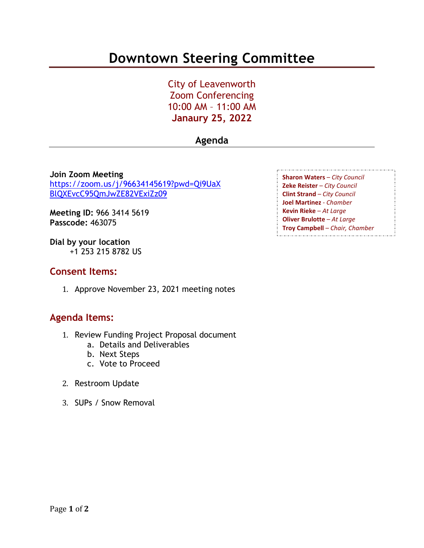# **Downtown Steering Committee**

City of Leavenworth Zoom Conferencing 10:00 AM – 11:00 AM **Janaury 25, 2022**

## **Agenda**

**Join Zoom Meeting** [https://zoom.us/j/96634145619?pwd=Qi9UaX](https://zoom.us/j/96634145619?pwd=Qi9UaXBlQXEvcC95QmJwZE82VExiZz09) [BlQXEvcC95QmJwZE82VExiZz09](https://zoom.us/j/96634145619?pwd=Qi9UaXBlQXEvcC95QmJwZE82VExiZz09)

**Meeting ID:** 966 3414 5619 **Passcode:** 463075

**Dial by your location** +1 253 215 8782 US

### **Consent Items:**

1. Approve November 23, 2021 meeting notes

### **Agenda Items:**

- 1. Review Funding Project Proposal document
	- a. Details and Deliverables
	- b. Next Steps
	- c. Vote to Proceed
- 2. Restroom Update
- 3. SUPs / Snow Removal

**Sharon Waters** – *City Council* **Zeke Reister** – *City Council* **Clint Strand** – *City Council* **Joel Martinez** - *Chamber* **Kevin Rieke** – *At Large* **Oliver Brulotte** – *At Large* **Troy Campbell** – *Chair, Chamber*